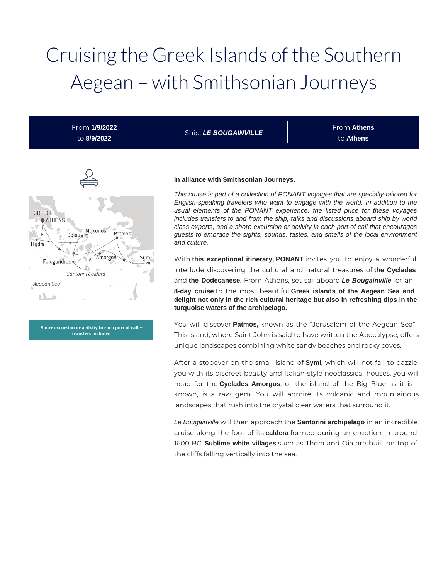# Cruising the Greek Islands of the Southern Aegean – with Smithsonian Journeys

From **1/9/2022** to **8/9/2022**

Ship: **LE BOUGAINVILLE**

From **Athens** to **Athens**



**Shore excursion or activity in each port of call + transfers included**

#### **In alliance with Smithsonian Journeys.**

This cruise is part of a collection of PONANT voyages that are specially-tailored for English-speaking travelers who want to engage with the world. In addition to the usual elements of the PONANT experience, the listed price for these voyages includes transfers to and from the ship, talks and discussions aboard ship by world class experts, and a shore excursion or activity in each port of call that encourages guests to embrace the sights, sounds, tastes, and smells of the local environment and culture.

With **this exceptional itinerary, PONANT** invites you to enjoy a wonderful interlude discovering the cultural and natural treasures of **the Cyclades**  and **the Dodecanese**. From Athens, set sail aboard **Le Bougainville** for an **8-day cruise** to the most beautiful **Greek islands of the Aegean Sea and delight not only in the rich cultural heritage but also in refreshing dips in the turquoise waters of the archipelago.** 

You will discover **Patmos,** known as the "Jerusalem of the Aegean Sea". This island, where Saint John is said to have written the Apocalypse, offers unique landscapes combining white sandy beaches and rocky coves.

After a stopover on the small island of **Symi**, which will not fail to dazzle you with its discreet beauty and Italian-style neoclassical houses, you will head for the **Cyclades**. **Amorgos**, or the island of the Big Blue as it is known, is a raw gem. You will admire its volcanic and mountainous landscapes that rush into the crystal clear waters that surround it.

Le Bougainville will then approach the **Santorini archipelago** in an incredible cruise along the foot of its **caldera** formed during an eruption in around 1600 BC. **Sublime white villages** such as Thera and Oia are built on top of the cliffs falling vertically into the sea.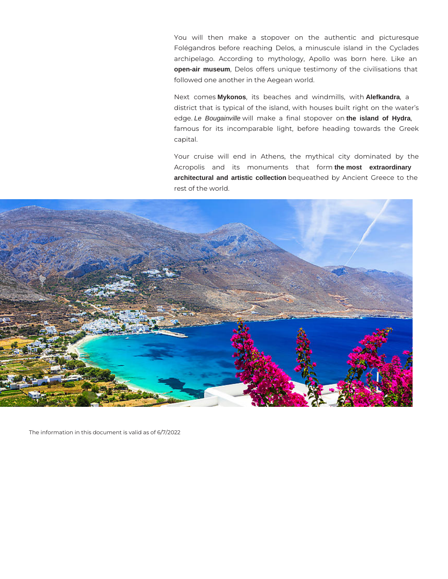You will then make a stopover on the authentic and picturesque Folégandros before reaching Delos, a minuscule island in the Cyclades archipelago. According to mythology, Apollo was born here. Like an **open-air museum**, Delos offers unique testimony of the civilisations that followed one another in the Aegean world.

Next comes **Mykonos**, its beaches and windmills, with **Alefkandra**, a district that is typical of the island, with houses built right on the water's edge. Le Bougainville will make a final stopover on **the island of Hydra**, famous for its incomparable light, before heading towards the Greek capital.

Your cruise will end in Athens, the mythical city dominated by the Acropolis and its monuments that form **the most extraordinary architectural and artistic collection** bequeathed by Ancient Greece to the rest of the world.



The information in this document is valid as of 6/7/2022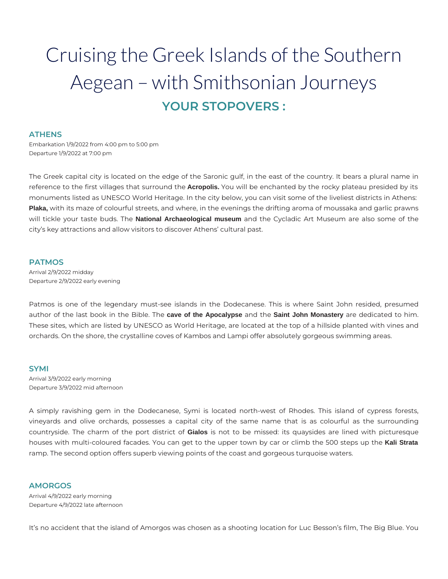# Cruising the Greek Islands of the Southern Aegean – with Smithsonian Journeys **YOUR STOPOVERS :**

## **ATHENS**

Embarkation 1/9/2022 from 4:00 pm to 5:00 pm Departure 1/9/2022 at 7:00 pm

The Greek capital city is located on the edge of the Saronic gulf, in the east of the country. It bears a plural name in reference to the first villages that surround the **Acropolis.** You will be enchanted by the rocky plateau presided by its monuments listed as UNESCO World Heritage. In the city below, you can visit some of the liveliest districts in Athens: **Plaka,** with its maze of colourful streets, and where, in the evenings the drifting aroma of moussaka and garlic prawns will tickle your taste buds. The **National Archaeological museum** and the Cycladic Art Museum are also some of the city's key attractions and allow visitors to discover Athens' cultural past.

#### **PATMOS**

Arrival 2/9/2022 midday Departure 2/9/2022 early evening

Patmos is one of the legendary must-see islands in the Dodecanese. This is where Saint John resided, presumed author of the last book in the Bible. The **cave of the Apocalypse** and the **Saint John Monastery** are dedicated to him. These sites, which are listed by UNESCO as World Heritage, are located at the top of a hillside planted with vines and orchards. On the shore, the crystalline coves of Kambos and Lampi offer absolutely gorgeous swimming areas.

#### **SYMI**

Arrival 3/9/2022 early morning Departure 3/9/2022 mid afternoon

A simply ravishing gem in the Dodecanese, Symi is located north-west of Rhodes. This island of cypress forests, vineyards and olive orchards, possesses a capital city of the same name that is as colourful as the surrounding countryside. The charm of the port district of **Gialos** is not to be missed: its quaysides are lined with picturesque houses with multi-coloured facades. You can get to the upper town by car or climb the 500 steps up the **Kali Strata** ramp. The second option offers superb viewing points of the coast and gorgeous turquoise waters.

# **AMORGOS**

Arrival 4/9/2022 early morning Departure 4/9/2022 late afternoon

It's no accident that the island of Amorgos was chosen as a shooting location for Luc Besson's film, The Big Blue. You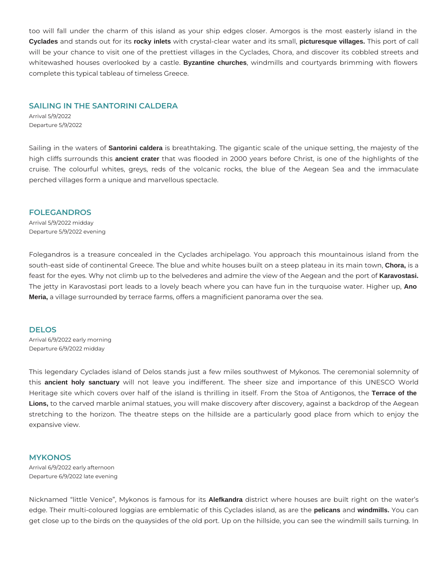too will fall under the charm of this island as your ship edges closer. Amorgos is the most easterly island in the **Cyclades** and stands out for its **rocky inlets** with crystal-clear water and its small, **picturesque villages.** This port of call will be your chance to visit one of the prettiest villages in the Cyclades, Chora, and discover its cobbled streets and whitewashed houses overlooked by a castle. **Byzantine churches**, windmills and courtyards brimming with flowers complete this typical tableau of timeless Greece.

#### **SAILING IN THE SANTORINI CALDERA**

Arrival 5/9/2022 Departure 5/9/2022

Sailing in the waters of **Santorini caldera** is breathtaking. The gigantic scale of the unique setting, the majesty of the high cliffs surrounds this **ancient crater** that was flooded in 2000 years before Christ, is one of the highlights of the cruise. The colourful whites, greys, reds of the volcanic rocks, the blue of the Aegean Sea and the immaculate perched villages form a unique and marvellous spectacle.

#### **FOLEGANDROS**

Arrival 5/9/2022 midday Departure 5/9/2022 evening

Folegandros is a treasure concealed in the Cyclades archipelago. You approach this mountainous island from the south-east side of continental Greece. The blue and white houses built on a steep plateau in its main town, **Chora,** is a feast for the eyes. Why not climb up to the belvederes and admire the view of the Aegean and the port of **Karavostasi.** The jetty in Karavostasi port leads to a lovely beach where you can have fun in the turquoise water. Higher up, **Ano Meria,** a village surrounded by terrace farms, offers a magnificient panorama over the sea.

#### **DELOS**

Arrival 6/9/2022 early morning Departure 6/9/2022 midday

This legendary Cyclades island of Delos stands just a few miles southwest of Mykonos. The ceremonial solemnity of this **ancient holy sanctuary** will not leave you indifferent. The sheer size and importance of this UNESCO World Heritage site which covers over half of the island is thrilling in itself. From the Stoa of Antigonos, the **Terrace of the**  Lions, to the carved marble animal statues, you will make discovery after discovery, against a backdrop of the Aegean stretching to the horizon. The theatre steps on the hillside are a particularly good place from which to enjoy the expansive view.

#### **MYKONOS**

Arrival 6/9/2022 early afternoon Departure 6/9/2022 late evening

Nicknamed "little Venice", Mykonos is famous for its **Alefkandra** district where houses are built right on the water's edge. Their multi-coloured loggias are emblematic of this Cyclades island, as are the **pelicans** and **windmills.** You can get close up to the birds on the quaysides of the old port. Up on the hillside, you can see the windmill sails turning. In